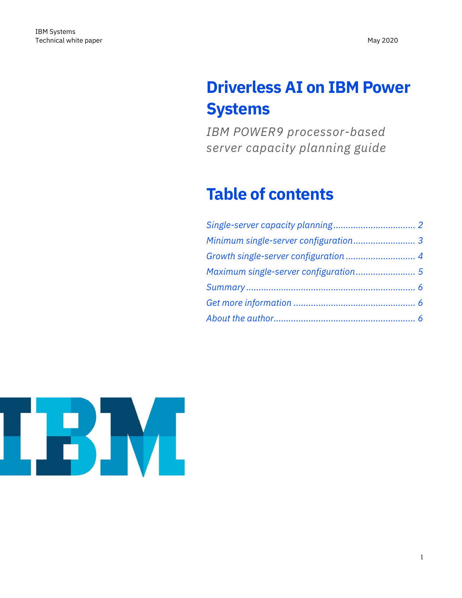# **Driverless AI on IBM Power Systems**

*IBM POWER9 processor-based server capacity planning guide*

## **Table of contents**

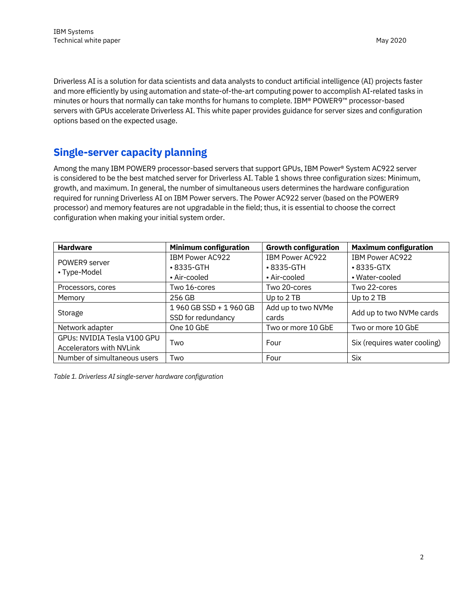Driverless AI is a solution for data scientists and data analysts to conduct artificial intelligence (AI) projects faster and more efficiently by using automation and state-of-the-art computing power to accomplish AI-related tasks in minutes or hours that normally can take months for humans to complete. IBM® POWER9™ processor-based servers with GPUs accelerate Driverless AI. This white paper provides guidance for server sizes and configuration options based on the expected usage.

#### <span id="page-1-0"></span>**Single-server capacity planning**

Among the many IBM POWER9 processor-based servers that support GPUs, IBM Power® System AC922 server is considered to be the best matched server for Driverless AI[. Table 1](https://developer.ibm.com/linuxonpower/driverless-ai-on-power/#table1) shows three configuration sizes: Minimum, growth, and maximum. In general, the number of simultaneous users determines the hardware configuration required for running Driverless AI on IBM Power servers. The Power AC922 server (based on the POWER9 processor) and memory features are not upgradable in the field; thus, it is essential to choose the correct configuration when making your initial system order.

| <b>Hardware</b>                 | <b>Minimum configuration</b> | <b>Growth configuration</b> | <b>Maximum configuration</b> |
|---------------------------------|------------------------------|-----------------------------|------------------------------|
| POWER9 server<br>• Type-Model   | IBM Power AC922              | IBM Power AC922             | IBM Power AC922              |
|                                 | $\cdot$ 8335-GTH             | $\cdot$ 8335-GTH            | $\cdot$ 8335-GTX             |
|                                 | • Air-cooled                 | • Air-cooled                | • Water-cooled               |
| Processors, cores               | Two 16-cores                 | Two 20-cores                | Two 22-cores                 |
| Memory                          | 256 GB                       | Up to 2 TB                  | Up to 2 TB                   |
| Storage                         | 1960 GB SSD + 1960 GB        | Add up to two NVMe          | Add up to two NVMe cards     |
|                                 | SSD for redundancy           | cards                       |                              |
| Network adapter                 | One 10 GbE                   | Two or more 10 GbE          | Two or more 10 GbE           |
| GPUs: NVIDIA Tesla V100 GPU     |                              | Four                        | Six (requires water cooling) |
| <b>Accelerators with NVLink</b> | Two                          |                             |                              |
| Number of simultaneous users    | Two                          | Four                        | <b>Six</b>                   |

*Table 1. Driverless AI single-server hardware configuration*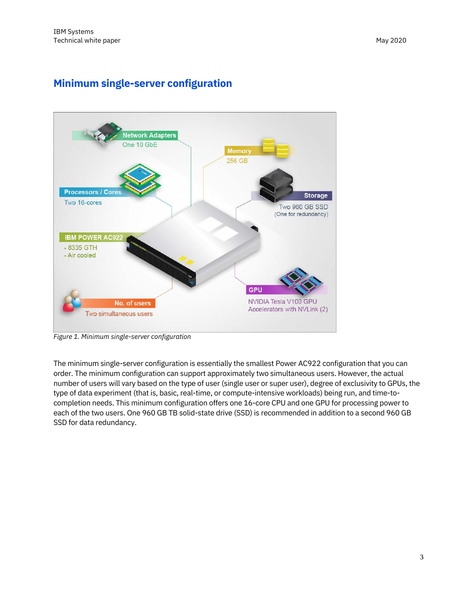## <span id="page-2-0"></span>**Minimum single-server configuration**



*Figure 1. Minimum single-server configuration*

The minimum single-server configuration is essentially the smallest Power AC922 configuration that you can order. The minimum configuration can support approximately two simultaneous users. However, the actual number of users will vary based on the type of user (single user or super user), degree of exclusivity to GPUs, the type of data experiment (that is, basic, real-time, or compute-intensive workloads) being run, and time-tocompletion needs. This minimum configuration offers one 16-core CPU and one GPU for processing power to each of the two users. One 960 GB TB solid-state drive (SSD) is recommended in addition to a second 960 GB SSD for data redundancy.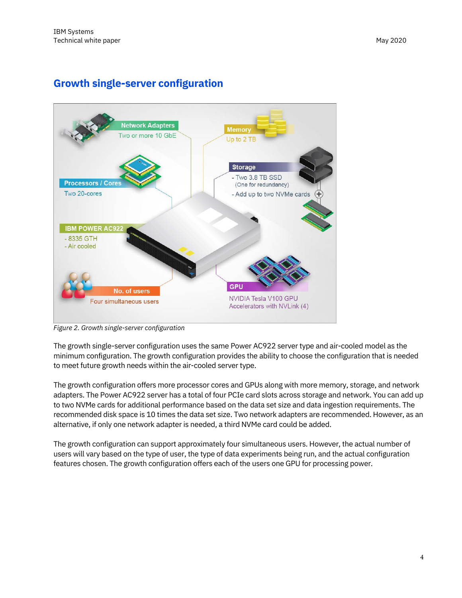#### <span id="page-3-0"></span>**Growth single-server configuration**



*Figure 2. Growth single-server configuration*

The growth single-server configuration uses the same Power AC922 server type and air-cooled model as the minimum configuration. The growth configuration provides the ability to choose the configuration that is needed to meet future growth needs within the air-cooled server type.

The growth configuration offers more processor cores and GPUs along with more memory, storage, and network adapters. The Power AC922 server has a total of four PCIe card slots across storage and network. You can add up to two NVMe cards for additional performance based on the data set size and data ingestion requirements. The recommended disk space is 10 times the data set size. Two network adapters are recommended. However, as an alternative, if only one network adapter is needed, a third NVMe card could be added.

The growth configuration can support approximately four simultaneous users. However, the actual number of users will vary based on the type of user, the type of data experiments being run, and the actual configuration features chosen. The growth configuration offers each of the users one GPU for processing power.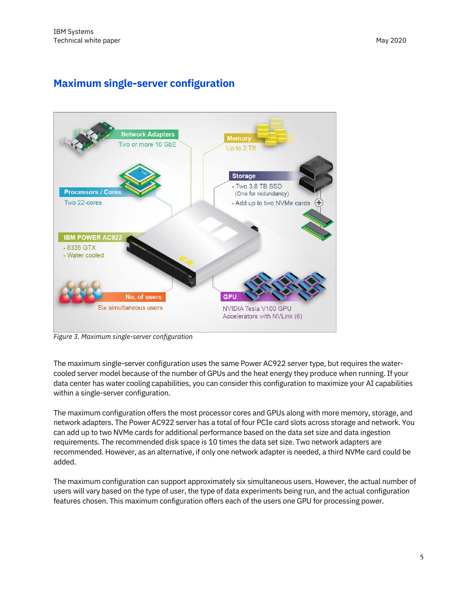### <span id="page-4-0"></span>**Maximum single-server configuration**



*Figure 3. Maximum single-server configuration*

The maximum single-server configuration uses the same Power AC922 server type, but requires the watercooled server model because of the number of GPUs and the heat energy they produce when running. If your data center has water cooling capabilities, you can consider this configuration to maximize your AI capabilities within a single-server configuration.

The maximum configuration offers the most processor cores and GPUs along with more memory, storage, and network adapters. The Power AC922 server has a total of four PCIe card slots across storage and network. You can add up to two NVMe cards for additional performance based on the data set size and data ingestion requirements. The recommended disk space is 10 times the data set size. Two network adapters are recommended. However, as an alternative, if only one network adapter is needed, a third NVMe card could be added.

The maximum configuration can support approximately six simultaneous users. However, the actual number of users will vary based on the type of user, the type of data experiments being run, and the actual configuration features chosen. This maximum configuration offers each of the users one GPU for processing power.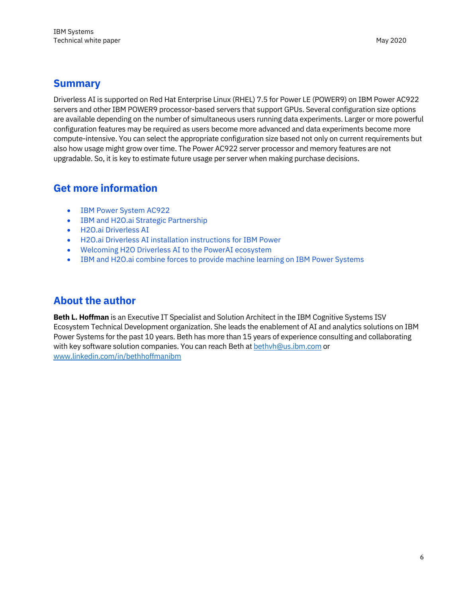#### <span id="page-5-0"></span>**Summary**

Driverless AI is supported on Red Hat Enterprise Linux (RHEL) 7.5 for Power LE (POWER9) on IBM Power AC922 servers and other IBM POWER9 processor-based servers that support GPUs. Several configuration size options are available depending on the number of simultaneous users running data experiments. Larger or more powerful configuration features may be required as users become more advanced and data experiments become more compute-intensive. You can select the appropriate configuration size based not only on current requirements but also how usage might grow over time. The Power AC922 server processor and memory features are not upgradable. So, it is key to estimate future usage per server when making purchase decisions.

#### <span id="page-5-1"></span>**Get more information**

- [IBM Power System AC922](https://www.ibm.com/us-en/marketplace/power-systems-ac922)
- [IBM and H2O.ai Strategic Partnership](https://www.h2o.ai/ibm/)
- [H2O.ai Driverless AI](https://www.h2o.ai/driverless-ai/)
- [H2O.ai Driverless AI installation instructions for IBM Power](http://docs.h2o.ai/driverless-ai/latest-stable/docs/userguide/install/ibm-power.html)
- [Welcoming H2O Driverless AI to the PowerAI ecosystem](https://www.ibm.com/blogs/systems/welcoming-h2o-driverless-ai-to-the-powerai-ecosystem/)
- [IBM and H2O.ai combine forces to provide machine learning on IBM Power Systems](https://www.ibm.com/blogs/systems/ibm-and-h2o-ai-machine-learning-ibm-power-systems/)

#### <span id="page-5-2"></span>**About the author**

**Beth L. Hoffman** is an Executive IT Specialist and Solution Architect in the IBM Cognitive Systems ISV Ecosystem Technical Development organization. She leads the enablement of AI and analytics solutions on IBM Power Systems for the past 10 years. Beth has more than 15 years of experience consulting and collaborating with key software solution companies. You can reach Beth a[t bethvh@us.ibm.com](mailto:bethvh@us.ibm.com) or [www.linkedin.com/in/bethhoffmanibm](http://www.linkedin.com/in/bethhoffmanibm)